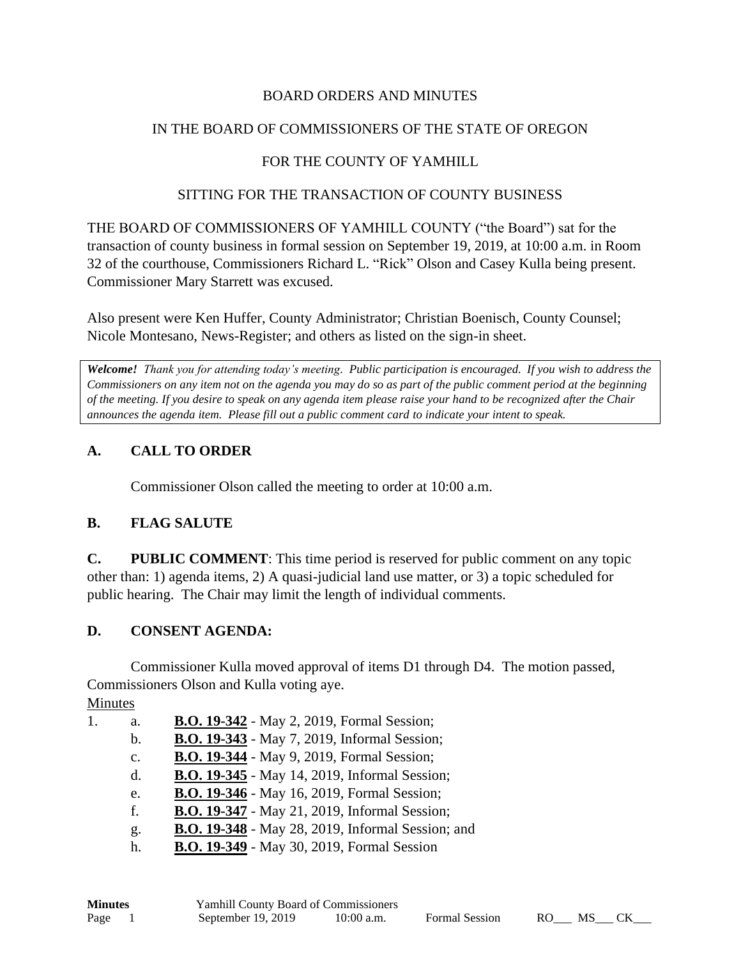### BOARD ORDERS AND MINUTES

### IN THE BOARD OF COMMISSIONERS OF THE STATE OF OREGON

## FOR THE COUNTY OF YAMHILL

#### SITTING FOR THE TRANSACTION OF COUNTY BUSINESS

THE BOARD OF COMMISSIONERS OF YAMHILL COUNTY ("the Board") sat for the transaction of county business in formal session on September 19, 2019, at 10:00 a.m. in Room 32 of the courthouse, Commissioners Richard L. "Rick" Olson and Casey Kulla being present. Commissioner Mary Starrett was excused.

Also present were Ken Huffer, County Administrator; Christian Boenisch, County Counsel; Nicole Montesano, News-Register; and others as listed on the sign-in sheet.

*Welcome! Thank you for attending today's meeting. Public participation is encouraged. If you wish to address the Commissioners on any item not on the agenda you may do so as part of the public comment period at the beginning of the meeting. If you desire to speak on any agenda item please raise your hand to be recognized after the Chair announces the agenda item. Please fill out a public comment card to indicate your intent to speak.*

## **A. CALL TO ORDER**

Commissioner Olson called the meeting to order at 10:00 a.m.

### **B. FLAG SALUTE**

**C. PUBLIC COMMENT**: This time period is reserved for public comment on any topic other than: 1) agenda items, 2) A quasi-judicial land use matter, or 3) a topic scheduled for public hearing. The Chair may limit the length of individual comments.

### **D. CONSENT AGENDA:**

Commissioner Kulla moved approval of items D1 through D4. The motion passed, Commissioners Olson and Kulla voting aye.

Minutes

| <b>B.O. 19-342</b> - May 2, 2019, Formal Session;        |
|----------------------------------------------------------|
| <b>B.O. 19-343</b> - May 7, 2019, Informal Session;      |
| B.O. 19-344 - May 9, 2019, Formal Session;               |
| <b>B.O. 19-345</b> - May 14, 2019, Informal Session;     |
| <b>B.O. 19-346</b> - May 16, 2019, Formal Session;       |
| <b>B.O. 19-347</b> - May 21, 2019, Informal Session;     |
| <b>B.O. 19-348</b> - May 28, 2019, Informal Session; and |
| <b>B.O. 19-349</b> - May 30, 2019, Formal Session        |
|                                                          |

| <b>Minutes</b> | <b>Yamhill County Board of Commissioners</b> |              |                       |      |     |  |
|----------------|----------------------------------------------|--------------|-----------------------|------|-----|--|
| Page           | September $19, 2019$                         | $10:00$ a.m. | <b>Formal Session</b> | - RO | MS. |  |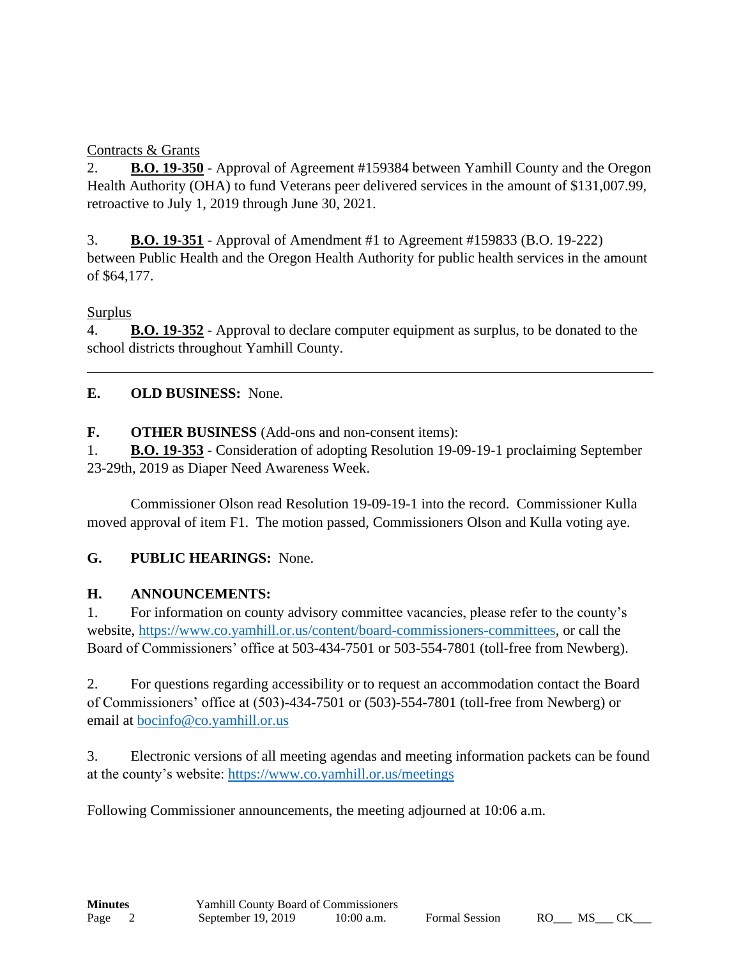## Contracts & Grants

2. **B.O. 19-350** - Approval of Agreement #159384 between Yamhill County and the Oregon Health Authority (OHA) to fund Veterans peer delivered services in the amount of \$131,007.99, retroactive to July 1, 2019 through June 30, 2021.

3. **B.O. 19-351** - Approval of Amendment #1 to Agreement #159833 (B.O. 19-222) between Public Health and the Oregon Health Authority for public health services in the amount of \$64,177.

## Surplus

4. **B.O. 19-352** - Approval to declare computer equipment as surplus, to be donated to the school districts throughout Yamhill County.

# **E. OLD BUSINESS:** None.

**F. OTHER BUSINESS** (Add-ons and non-consent items):

1. **B.O. 19-353** - Consideration of adopting Resolution 19-09-19-1 proclaiming September 23-29th, 2019 as Diaper Need Awareness Week.

Commissioner Olson read Resolution 19-09-19-1 into the record. Commissioner Kulla moved approval of item F1. The motion passed, Commissioners Olson and Kulla voting aye.

# **G. PUBLIC HEARINGS:** None.

## **H. ANNOUNCEMENTS:**

1. For information on county advisory committee vacancies, please refer to the county's website, [https://www.co.yamhill.or.us/content/board-commissioners-committees,](https://www.co.yamhill.or.us/content/board-commissioners-committees) or call the Board of Commissioners' office at 503-434-7501 or 503-554-7801 (toll-free from Newberg).

2. For questions regarding accessibility or to request an accommodation contact the Board of Commissioners' office at (503)-434-7501 or (503)-554-7801 (toll-free from Newberg) or email at [bocinfo@co.yamhill.or.us](mailto:bocinfo@co.yamhill.or.us)

3. Electronic versions of all meeting agendas and meeting information packets can be found at the county's website:<https://www.co.yamhill.or.us/meetings>

Following Commissioner announcements, the meeting adjourned at 10:06 a.m.